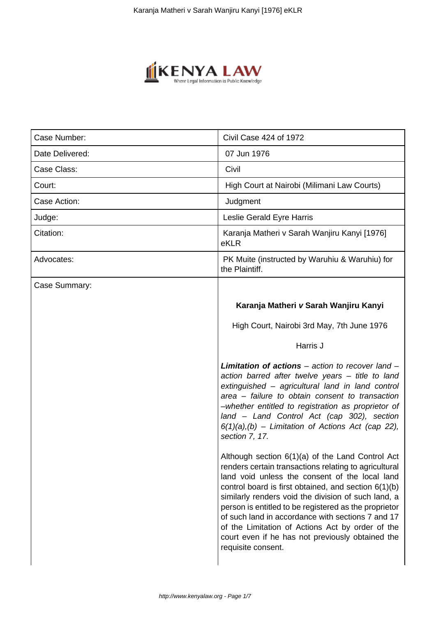

| Case Number:    | Civil Case 424 of 1972                                                                                                                                                                                                                                                                                                                                                                                                                                                                                                 |
|-----------------|------------------------------------------------------------------------------------------------------------------------------------------------------------------------------------------------------------------------------------------------------------------------------------------------------------------------------------------------------------------------------------------------------------------------------------------------------------------------------------------------------------------------|
| Date Delivered: | 07 Jun 1976                                                                                                                                                                                                                                                                                                                                                                                                                                                                                                            |
| Case Class:     | Civil                                                                                                                                                                                                                                                                                                                                                                                                                                                                                                                  |
| Court:          | High Court at Nairobi (Milimani Law Courts)                                                                                                                                                                                                                                                                                                                                                                                                                                                                            |
| Case Action:    | Judgment                                                                                                                                                                                                                                                                                                                                                                                                                                                                                                               |
| Judge:          | Leslie Gerald Eyre Harris                                                                                                                                                                                                                                                                                                                                                                                                                                                                                              |
| Citation:       | Karanja Matheri v Sarah Wanjiru Kanyi [1976]<br>eKLR                                                                                                                                                                                                                                                                                                                                                                                                                                                                   |
| Advocates:      | PK Muite (instructed by Waruhiu & Waruhiu) for<br>the Plaintiff.                                                                                                                                                                                                                                                                                                                                                                                                                                                       |
| Case Summary:   |                                                                                                                                                                                                                                                                                                                                                                                                                                                                                                                        |
|                 | Karanja Matheri v Sarah Wanjiru Kanyi                                                                                                                                                                                                                                                                                                                                                                                                                                                                                  |
|                 | High Court, Nairobi 3rd May, 7th June 1976                                                                                                                                                                                                                                                                                                                                                                                                                                                                             |
|                 | Harris J                                                                                                                                                                                                                                                                                                                                                                                                                                                                                                               |
|                 | <b>Limitation of actions</b> $-$ action to recover land $-$<br>action barred after twelve years - title to land<br>extinguished - agricultural land in land control<br>area - failure to obtain consent to transaction<br>-whether entitled to registration as proprietor of<br>land - Land Control Act (cap 302), section<br>$6(1)(a)$ , (b) – Limitation of Actions Act (cap 22),<br>section 7, 17.                                                                                                                  |
|                 | Although section 6(1)(a) of the Land Control Act<br>renders certain transactions relating to agricultural<br>land void unless the consent of the local land<br>control board is first obtained, and section 6(1)(b)<br>similarly renders void the division of such land, a<br>person is entitled to be registered as the proprietor<br>of such land in accordance with sections 7 and 17<br>of the Limitation of Actions Act by order of the<br>court even if he has not previously obtained the<br>requisite consent. |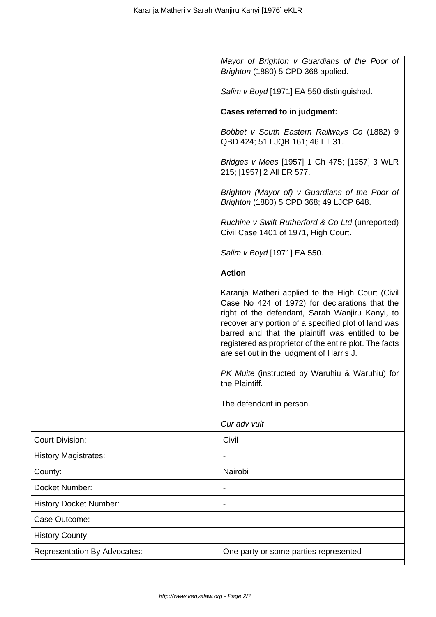|                                     | Mayor of Brighton v Guardians of the Poor of<br>Brighton (1880) 5 CPD 368 applied.                                                                                                                                                                                                                                                                                     |
|-------------------------------------|------------------------------------------------------------------------------------------------------------------------------------------------------------------------------------------------------------------------------------------------------------------------------------------------------------------------------------------------------------------------|
|                                     | Salim v Boyd [1971] EA 550 distinguished.                                                                                                                                                                                                                                                                                                                              |
|                                     | <b>Cases referred to in judgment:</b>                                                                                                                                                                                                                                                                                                                                  |
|                                     | Bobbet v South Eastern Railways Co (1882) 9<br>QBD 424; 51 LJQB 161; 46 LT 31.                                                                                                                                                                                                                                                                                         |
|                                     | Bridges v Mees [1957] 1 Ch 475; [1957] 3 WLR<br>215; [1957] 2 All ER 577.                                                                                                                                                                                                                                                                                              |
|                                     | Brighton (Mayor of) v Guardians of the Poor of<br>Brighton (1880) 5 CPD 368; 49 LJCP 648.                                                                                                                                                                                                                                                                              |
|                                     | Ruchine v Swift Rutherford & Co Ltd (unreported)<br>Civil Case 1401 of 1971, High Court.                                                                                                                                                                                                                                                                               |
|                                     | Salim v Boyd [1971] EA 550.                                                                                                                                                                                                                                                                                                                                            |
|                                     | <b>Action</b>                                                                                                                                                                                                                                                                                                                                                          |
|                                     | Karanja Matheri applied to the High Court (Civil<br>Case No 424 of 1972) for declarations that the<br>right of the defendant, Sarah Wanjiru Kanyi, to<br>recover any portion of a specified plot of land was<br>barred and that the plaintiff was entitled to be<br>registered as proprietor of the entire plot. The facts<br>are set out in the judgment of Harris J. |
|                                     | PK Muite (instructed by Waruhiu & Waruhiu) for<br>the Plaintiff.                                                                                                                                                                                                                                                                                                       |
|                                     | The defendant in person.                                                                                                                                                                                                                                                                                                                                               |
|                                     | Cur adv vult                                                                                                                                                                                                                                                                                                                                                           |
| <b>Court Division:</b>              | Civil                                                                                                                                                                                                                                                                                                                                                                  |
| <b>History Magistrates:</b>         |                                                                                                                                                                                                                                                                                                                                                                        |
| County:                             | Nairobi                                                                                                                                                                                                                                                                                                                                                                |
| Docket Number:                      |                                                                                                                                                                                                                                                                                                                                                                        |
| <b>History Docket Number:</b>       |                                                                                                                                                                                                                                                                                                                                                                        |
| Case Outcome:                       |                                                                                                                                                                                                                                                                                                                                                                        |
| <b>History County:</b>              |                                                                                                                                                                                                                                                                                                                                                                        |
| <b>Representation By Advocates:</b> | One party or some parties represented                                                                                                                                                                                                                                                                                                                                  |
|                                     |                                                                                                                                                                                                                                                                                                                                                                        |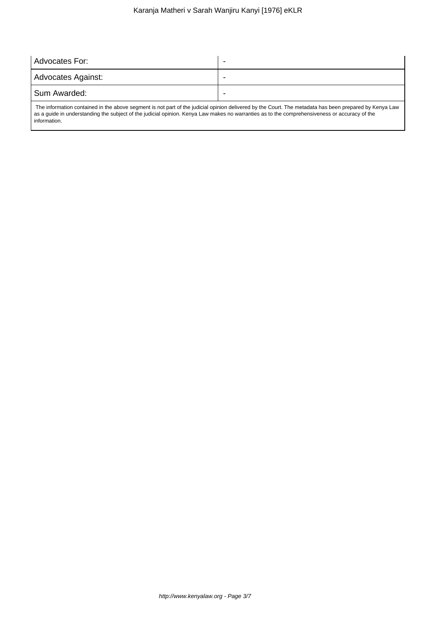| Advocates For:                                                                                                                                         |  |  |
|--------------------------------------------------------------------------------------------------------------------------------------------------------|--|--|
| Advocates Against:                                                                                                                                     |  |  |
| Sum Awarded:                                                                                                                                           |  |  |
| The information contained in the above segment is not part of the judicial opinion delivered by the Court. The metadata has been prepared by Kenya Law |  |  |

 The information contained in the above segment is not part of the judicial opinion delivered by the Court. The metadata has been prepared by Kenya Law as a guide in understanding the subject of the judicial opinion. Kenya Law makes no warranties as to the comprehensiveness or accuracy of the information.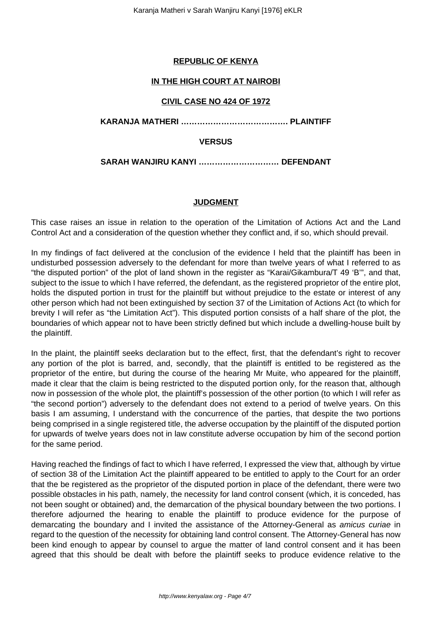# **REPUBLIC OF KENYA**

# **IN THE HIGH COURT AT NAIROBI**

## **CIVIL CASE NO 424 OF 1972**

**KARANJA MATHERI …………………………………. PLAINTIFF**

## **VERSUS**

**SARAH WANJIRU KANYI ………………………… DEFENDANT**

## **JUDGMENT**

This case raises an issue in relation to the operation of the Limitation of Actions Act and the Land Control Act and a consideration of the question whether they conflict and, if so, which should prevail.

In my findings of fact delivered at the conclusion of the evidence I held that the plaintiff has been in undisturbed possession adversely to the defendant for more than twelve years of what I referred to as "the disputed portion" of the plot of land shown in the register as "Karai/Gikambura/T 49 'B'", and that, subject to the issue to which I have referred, the defendant, as the registered proprietor of the entire plot, holds the disputed portion in trust for the plaintiff but without prejudice to the estate or interest of any other person which had not been extinguished by section 37 of the Limitation of Actions Act (to which for brevity I will refer as "the Limitation Act"). This disputed portion consists of a half share of the plot, the boundaries of which appear not to have been strictly defined but which include a dwelling-house built by the plaintiff.

In the plaint, the plaintiff seeks declaration but to the effect, first, that the defendant's right to recover any portion of the plot is barred, and, secondly, that the plaintiff is entitled to be registered as the proprietor of the entire, but during the course of the hearing Mr Muite, who appeared for the plaintiff, made it clear that the claim is being restricted to the disputed portion only, for the reason that, although now in possession of the whole plot, the plaintiff's possession of the other portion (to which I will refer as "the second portion") adversely to the defendant does not extend to a period of twelve years. On this basis I am assuming, I understand with the concurrence of the parties, that despite the two portions being comprised in a single registered title, the adverse occupation by the plaintiff of the disputed portion for upwards of twelve years does not in law constitute adverse occupation by him of the second portion for the same period.

Having reached the findings of fact to which I have referred, I expressed the view that, although by virtue of section 38 of the Limitation Act the plaintiff appeared to be entitled to apply to the Court for an order that the be registered as the proprietor of the disputed portion in place of the defendant, there were two possible obstacles in his path, namely, the necessity for land control consent (which, it is conceded, has not been sought or obtained) and, the demarcation of the physical boundary between the two portions. I therefore adjourned the hearing to enable the plaintiff to produce evidence for the purpose of demarcating the boundary and I invited the assistance of the Attorney-General as amicus curiae in regard to the question of the necessity for obtaining land control consent. The Attorney-General has now been kind enough to appear by counsel to argue the matter of land control consent and it has been agreed that this should be dealt with before the plaintiff seeks to produce evidence relative to the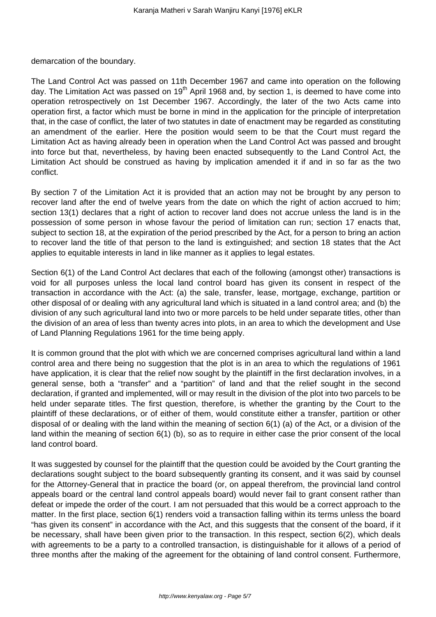demarcation of the boundary.

The Land Control Act was passed on 11th December 1967 and came into operation on the following day. The Limitation Act was passed on  $19<sup>th</sup>$  April 1968 and, by section 1, is deemed to have come into operation retrospectively on 1st December 1967. Accordingly, the later of the two Acts came into operation first, a factor which must be borne in mind in the application for the principle of interpretation that, in the case of conflict, the later of two statutes in date of enactment may be regarded as constituting an amendment of the earlier. Here the position would seem to be that the Court must regard the Limitation Act as having already been in operation when the Land Control Act was passed and brought into force but that, nevertheless, by having been enacted subsequently to the Land Control Act, the Limitation Act should be construed as having by implication amended it if and in so far as the two conflict.

By section 7 of the Limitation Act it is provided that an action may not be brought by any person to recover land after the end of twelve years from the date on which the right of action accrued to him; section 13(1) declares that a right of action to recover land does not accrue unless the land is in the possession of some person in whose favour the period of limitation can run; section 17 enacts that, subject to section 18, at the expiration of the period prescribed by the Act, for a person to bring an action to recover land the title of that person to the land is extinguished; and section 18 states that the Act applies to equitable interests in land in like manner as it applies to legal estates.

Section 6(1) of the Land Control Act declares that each of the following (amongst other) transactions is void for all purposes unless the local land control board has given its consent in respect of the transaction in accordance with the Act: (a) the sale, transfer, lease, mortgage, exchange, partition or other disposal of or dealing with any agricultural land which is situated in a land control area; and (b) the division of any such agricultural land into two or more parcels to be held under separate titles, other than the division of an area of less than twenty acres into plots, in an area to which the development and Use of Land Planning Regulations 1961 for the time being apply.

It is common ground that the plot with which we are concerned comprises agricultural land within a land control area and there being no suggestion that the plot is in an area to which the regulations of 1961 have application, it is clear that the relief now sought by the plaintiff in the first declaration involves, in a general sense, both a "transfer" and a "partition" of land and that the relief sought in the second declaration, if granted and implemented, will or may result in the division of the plot into two parcels to be held under separate titles. The first question, therefore, is whether the granting by the Court to the plaintiff of these declarations, or of either of them, would constitute either a transfer, partition or other disposal of or dealing with the land within the meaning of section 6(1) (a) of the Act, or a division of the land within the meaning of section 6(1) (b), so as to require in either case the prior consent of the local land control board.

It was suggested by counsel for the plaintiff that the question could be avoided by the Court granting the declarations sought subject to the board subsequently granting its consent, and it was said by counsel for the Attorney-General that in practice the board (or, on appeal therefrom, the provincial land control appeals board or the central land control appeals board) would never fail to grant consent rather than defeat or impede the order of the court. I am not persuaded that this would be a correct approach to the matter. In the first place, section 6(1) renders void a transaction falling within its terms unless the board "has given its consent" in accordance with the Act, and this suggests that the consent of the board, if it be necessary, shall have been given prior to the transaction. In this respect, section 6(2), which deals with agreements to be a party to a controlled transaction, is distinguishable for it allows of a period of three months after the making of the agreement for the obtaining of land control consent. Furthermore,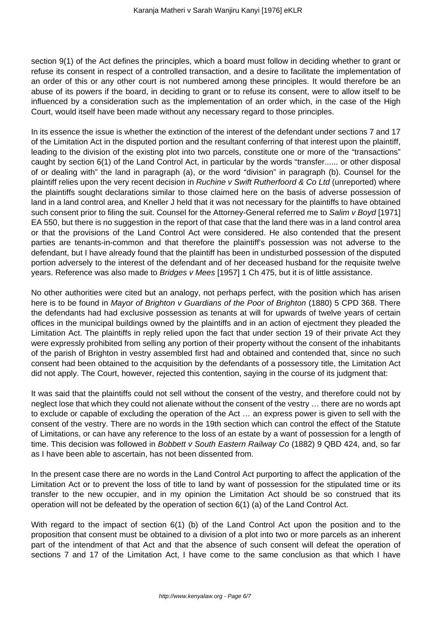section 9(1) of the Act defines the principles, which a board must follow in deciding whether to grant or refuse its consent in respect of a controlled transaction, and a desire to facilitate the implementation of an order of this or any other court is not numbered among these principles. It would therefore be an abuse of its powers if the board, in deciding to grant or to refuse its consent, were to allow itself to be influenced by a consideration such as the implementation of an order which, in the case of the High Court, would itself have been made without any necessary regard to those principles.

In its essence the issue is whether the extinction of the interest of the defendant under sections 7 and 17 of the Limitation Act in the disputed portion and the resultant conferring of that interest upon the plaintiff, leading to the division of the existing plot into two parcels, constitute one or more of the "transactions" caught by section 6(1) of the Land Control Act, in particular by the words "transfer...... or other disposal of or dealing with" the land in paragraph (a), or the word "division" in paragraph (b). Counsel for the plaintiff relies upon the very recent decision in Ruchine v Swift Rutherfoord & Co Ltd (unreported) where the plaintiffs sought declarations similar to those claimed here on the basis of adverse possession of land in a land control area, and Kneller J held that it was not necessary for the plaintiffs to have obtained such consent prior to filing the suit. Counsel for the Attorney-General referred me to Salim v Boyd [1971] EA 550, but there is no suggestion in the report of that case that the land there was in a land control area or that the provisions of the Land Control Act were considered. He also contended that the present parties are tenants-in-common and that therefore the plaintiff's possession was not adverse to the defendant, but I have already found that the plaintiff has been in undisturbed possession of the disputed portion adversely to the interest of the defendant and of her deceased husband for the requisite twelve years. Reference was also made to *Bridges v Mees* [1957] 1 Ch 475, but it is of little assistance.

No other authorities were cited but an analogy, not perhaps perfect, with the position which has arisen here is to be found in Mayor of Brighton v Guardians of the Poor of Brighton (1880) 5 CPD 368. There the defendants had had exclusive possession as tenants at will for upwards of twelve years of certain offices in the municipal buildings owned by the plaintiffs and in an action of ejectment they pleaded the Limitation Act. The plaintiffs in reply relied upon the fact that under section 19 of their private Act they were expressly prohibited from selling any portion of their property without the consent of the inhabitants of the parish of Brighton in vestry assembled first had and obtained and contended that, since no such consent had been obtained to the acquisition by the defendants of a possessory title, the Limitation Act did not apply. The Court, however, rejected this contention, saying in the course of its judgment that:

It was said that the plaintiffs could not sell without the consent of the vestry, and therefore could not by neglect lose that which they could not alienate without the consent of the vestry … there are no words apt to exclude or capable of excluding the operation of the Act … an express power is given to sell with the consent of the vestry. There are no words in the 19th section which can control the effect of the Statute of Limitations, or can have any reference to the loss of an estate by a want of possession for a length of time. This decision was followed in Bobbett v South Eastern Railway Co (1882) 9 QBD 424, and, so far as I have been able to ascertain, has not been dissented from.

In the present case there are no words in the Land Control Act purporting to affect the application of the Limitation Act or to prevent the loss of title to land by want of possession for the stipulated time or its transfer to the new occupier, and in my opinion the Limitation Act should be so construed that its operation will not be defeated by the operation of section 6(1) (a) of the Land Control Act.

With regard to the impact of section 6(1) (b) of the Land Control Act upon the position and to the proposition that consent must be obtained to a division of a plot into two or more parcels as an inherent part of the intendment of that Act and that the absence of such consent will defeat the operation of sections 7 and 17 of the Limitation Act, I have come to the same conclusion as that which I have